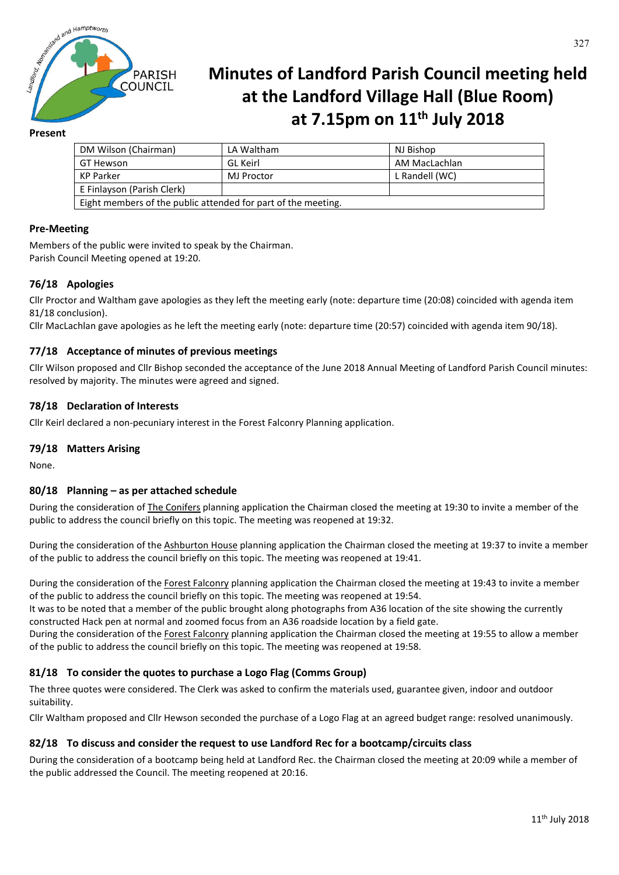

# **Minutes of Landford Parish Council meeting held at the Landford Village Hall (Blue Room) at 7.15pm on 11th July 2018**

## **Present**

| DM Wilson (Chairman)                                          | LA Waltham | NJ Bishop      |
|---------------------------------------------------------------|------------|----------------|
| GT Hewson                                                     | GL Keirl   | AM MacLachlan  |
| KP Parker                                                     | MJ Proctor | L Randell (WC) |
| E Finlayson (Parish Clerk)                                    |            |                |
| Eight members of the public attended for part of the meeting. |            |                |

## **Pre-Meeting**

Members of the public were invited to speak by the Chairman. Parish Council Meeting opened at 19:20.

# **76/18 Apologies**

Cllr Proctor and Waltham gave apologies as they left the meeting early (note: departure time (20:08) coincided with agenda item 81/18 conclusion).

Cllr MacLachlan gave apologies as he left the meeting early (note: departure time (20:57) coincided with agenda item 90/18).

## **77/18 Acceptance of minutes of previous meetings**

Cllr Wilson proposed and Cllr Bishop seconded the acceptance of the June 2018 Annual Meeting of Landford Parish Council minutes: resolved by majority. The minutes were agreed and signed.

# **78/18 Declaration of Interests**

Cllr Keirl declared a non-pecuniary interest in the Forest Falconry Planning application.

## **79/18 Matters Arising**

None.

## **80/18 Planning – as per attached schedule**

During the consideration of The Conifers planning application the Chairman closed the meeting at 19:30 to invite a member of the public to address the council briefly on this topic. The meeting was reopened at 19:32.

During the consideration of the Ashburton House planning application the Chairman closed the meeting at 19:37 to invite a member of the public to address the council briefly on this topic. The meeting was reopened at 19:41.

During the consideration of the Forest Falconry planning application the Chairman closed the meeting at 19:43 to invite a member of the public to address the council briefly on this topic. The meeting was reopened at 19:54.

It was to be noted that a member of the public brought along photographs from A36 location of the site showing the currently constructed Hack pen at normal and zoomed focus from an A36 roadside location by a field gate.

During the consideration of the Forest Falconry planning application the Chairman closed the meeting at 19:55 to allow a member of the public to address the council briefly on this topic. The meeting was reopened at 19:58.

## **81/18 To consider the quotes to purchase a Logo Flag (Comms Group)**

The three quotes were considered. The Clerk was asked to confirm the materials used, guarantee given, indoor and outdoor suitability.

Cllr Waltham proposed and Cllr Hewson seconded the purchase of a Logo Flag at an agreed budget range: resolved unanimously.

## **82/18 To discuss and consider the request to use Landford Rec for a bootcamp/circuits class**

During the consideration of a bootcamp being held at Landford Rec. the Chairman closed the meeting at 20:09 while a member of the public addressed the Council. The meeting reopened at 20:16.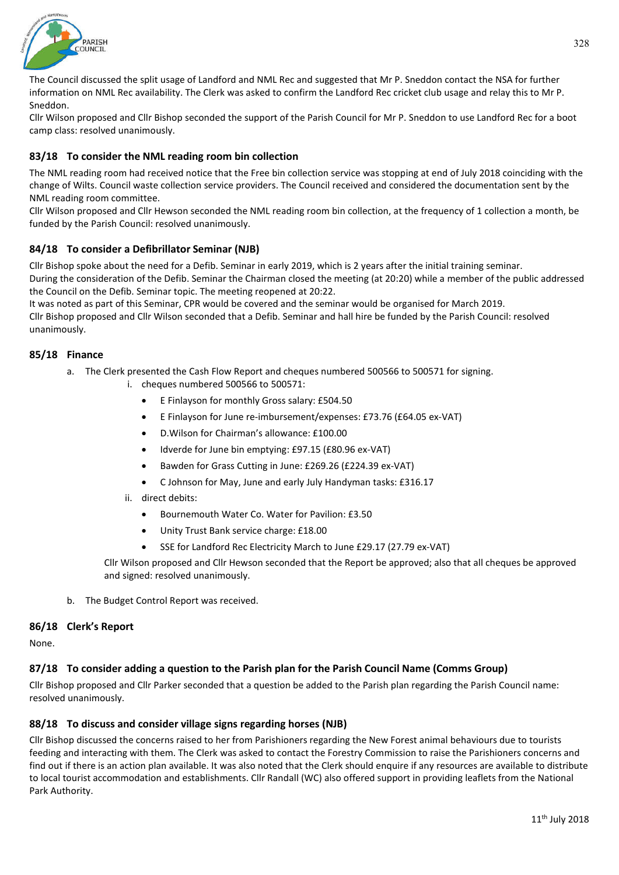

The Council discussed the split usage of Landford and NML Rec and suggested that Mr P. Sneddon contact the NSA for further information on NML Rec availability. The Clerk was asked to confirm the Landford Rec cricket club usage and relay this to Mr P. Sneddon.

Cllr Wilson proposed and Cllr Bishop seconded the support of the Parish Council for Mr P. Sneddon to use Landford Rec for a boot camp class: resolved unanimously.

# **83/18 To consider the NML reading room bin collection**

The NML reading room had received notice that the Free bin collection service was stopping at end of July 2018 coinciding with the change of Wilts. Council waste collection service providers. The Council received and considered the documentation sent by the NML reading room committee.

Cllr Wilson proposed and Cllr Hewson seconded the NML reading room bin collection, at the frequency of 1 collection a month, be funded by the Parish Council: resolved unanimously.

## **84/18 To consider a Defibrillator Seminar (NJB)**

Cllr Bishop spoke about the need for a Defib. Seminar in early 2019, which is 2 years after the initial training seminar. During the consideration of the Defib. Seminar the Chairman closed the meeting (at 20:20) while a member of the public addressed the Council on the Defib. Seminar topic. The meeting reopened at 20:22.

It was noted as part of this Seminar, CPR would be covered and the seminar would be organised for March 2019.

Cllr Bishop proposed and Cllr Wilson seconded that a Defib. Seminar and hall hire be funded by the Parish Council: resolved unanimously.

#### **85/18 Finance**

- a. The Clerk presented the Cash Flow Report and cheques numbered 500566 to 500571 for signing.
	- i. cheques numbered 500566 to 500571:
		- E Finlayson for monthly Gross salary: £504.50
		- E Finlayson for June re-imbursement/expenses: £73.76 (£64.05 ex-VAT)
		- D.Wilson for Chairman's allowance: £100.00
		- Idverde for June bin emptying: £97.15 (£80.96 ex-VAT)
		- Bawden for Grass Cutting in June: £269.26 (£224.39 ex-VAT)
		- C Johnson for May, June and early July Handyman tasks: £316.17
	- ii. direct debits:
		- Bournemouth Water Co. Water for Pavilion: £3.50
		- Unity Trust Bank service charge: £18.00
		- SSE for Landford Rec Electricity March to June £29.17 (27.79 ex-VAT)

Cllr Wilson proposed and Cllr Hewson seconded that the Report be approved; also that all cheques be approved and signed: resolved unanimously.

b. The Budget Control Report was received.

## **86/18 Clerk's Report**

None.

## **87/18 To consider adding a question to the Parish plan for the Parish Council Name (Comms Group)**

Cllr Bishop proposed and Cllr Parker seconded that a question be added to the Parish plan regarding the Parish Council name: resolved unanimously.

## **88/18 To discuss and consider village signs regarding horses (NJB)**

Cllr Bishop discussed the concerns raised to her from Parishioners regarding the New Forest animal behaviours due to tourists feeding and interacting with them. The Clerk was asked to contact the Forestry Commission to raise the Parishioners concerns and find out if there is an action plan available. It was also noted that the Clerk should enquire if any resources are available to distribute to local tourist accommodation and establishments. Cllr Randall (WC) also offered support in providing leaflets from the National Park Authority.